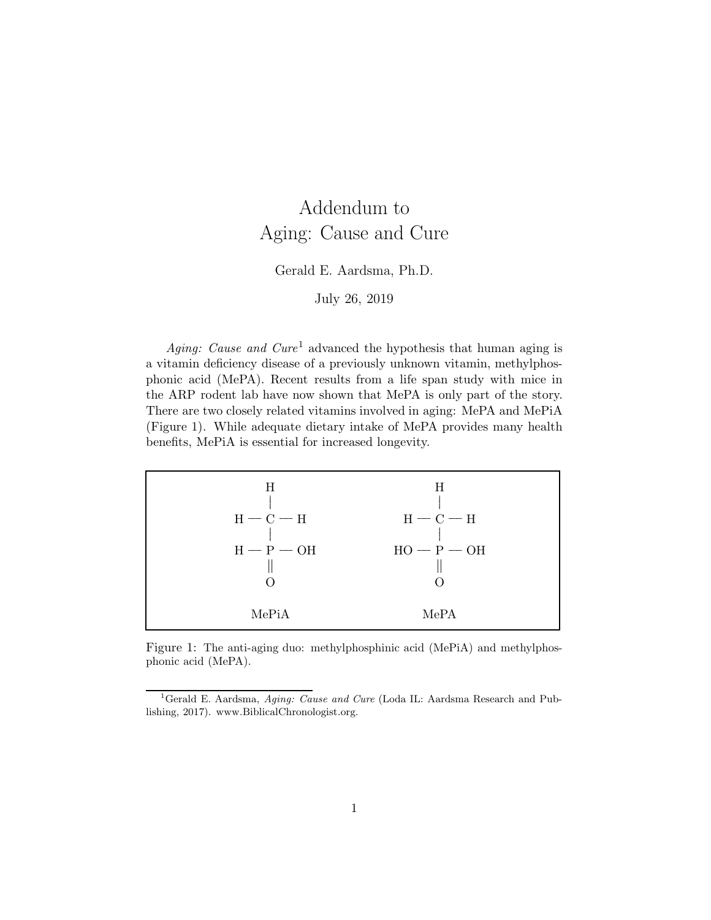# Addendum to Aging: Cause and Cure

#### Gerald E. Aardsma, Ph.D.

July 26, 2019

Aging: Cause and Cure<sup>1</sup> advanced the hypothesis that human aging is a vitamin deficiency disease of a previously unknown vitamin, methylphosphonic acid (MePA). Recent results from a life span study with mice in the ARP rodent lab have now shown that MePA is only part of the story. There are two closely related vitamins involved in aging: MePA and MePiA (Figure 1). While adequate dietary intake of MePA provides many health benefits, MePiA is essential for increased longevity.

| H            | H             |
|--------------|---------------|
| $H - C - H$  | $H - C - H$   |
| $H - P - OH$ | $HO - P - OH$ |
| MePiA        | MePA          |

Figure 1: The anti-aging duo: methylphosphinic acid (MePiA) and methylphosphonic acid (MePA).

<sup>&</sup>lt;sup>1</sup>Gerald E. Aardsma, *Aging: Cause and Cure* (Loda IL: Aardsma Research and Publishing, 2017). www.BiblicalChronologist.org.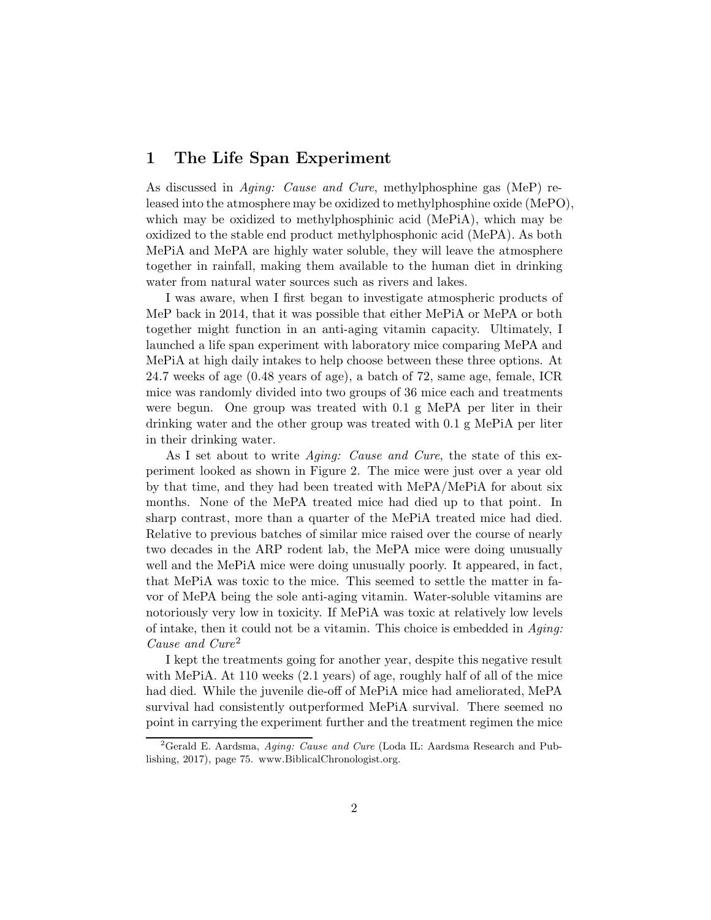## 1 The Life Span Experiment

As discussed in Aging: Cause and Cure, methylphosphine gas (MeP) released into the atmosphere may be oxidized to methylphosphine oxide (MePO), which may be oxidized to methylphosphinic acid (MePiA), which may be oxidized to the stable end product methylphosphonic acid (MePA). As both MePiA and MePA are highly water soluble, they will leave the atmosphere together in rainfall, making them available to the human diet in drinking water from natural water sources such as rivers and lakes.

I was aware, when I first began to investigate atmospheric products of MeP back in 2014, that it was possible that either MePiA or MePA or both together might function in an anti-aging vitamin capacity. Ultimately, I launched a life span experiment with laboratory mice comparing MePA and MePiA at high daily intakes to help choose between these three options. At 24.7 weeks of age (0.48 years of age), a batch of 72, same age, female, ICR mice was randomly divided into two groups of 36 mice each and treatments were begun. One group was treated with 0.1 g MePA per liter in their drinking water and the other group was treated with 0.1 g MePiA per liter in their drinking water.

As I set about to write *Aging: Cause and Cure*, the state of this experiment looked as shown in Figure 2. The mice were just over a year old by that time, and they had been treated with MePA/MePiA for about six months. None of the MePA treated mice had died up to that point. In sharp contrast, more than a quarter of the MePiA treated mice had died. Relative to previous batches of similar mice raised over the course of nearly two decades in the ARP rodent lab, the MePA mice were doing unusually well and the MePiA mice were doing unusually poorly. It appeared, in fact, that MePiA was toxic to the mice. This seemed to settle the matter in favor of MePA being the sole anti-aging vitamin. Water-soluble vitamins are notoriously very low in toxicity. If MePiA was toxic at relatively low levels of intake, then it could not be a vitamin. This choice is embedded in  $A\text{q}$ ing: Cause and Cure<sup>2</sup>

I kept the treatments going for another year, despite this negative result with MePiA. At 110 weeks (2.1 years) of age, roughly half of all of the mice had died. While the juvenile die-off of MePiA mice had ameliorated, MePA survival had consistently outperformed MePiA survival. There seemed no point in carrying the experiment further and the treatment regimen the mice

<sup>&</sup>lt;sup>2</sup>Gerald E. Aardsma, Aging: Cause and Cure (Loda IL: Aardsma Research and Publishing, 2017), page 75. www.BiblicalChronologist.org.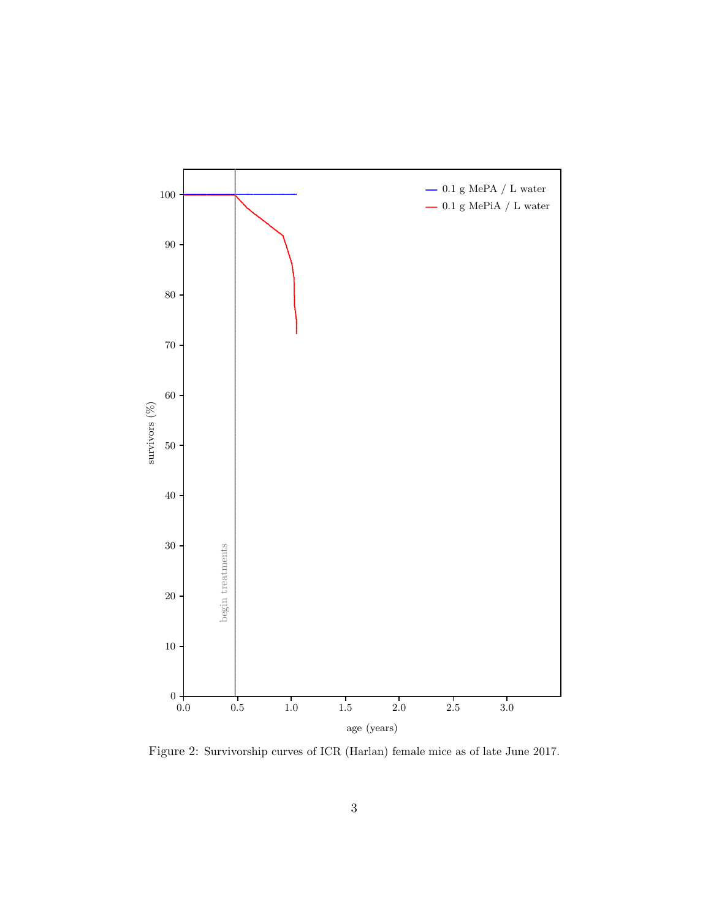

Figure 2: Survivorship curves of ICR (Harlan) female mice as of late June 2017.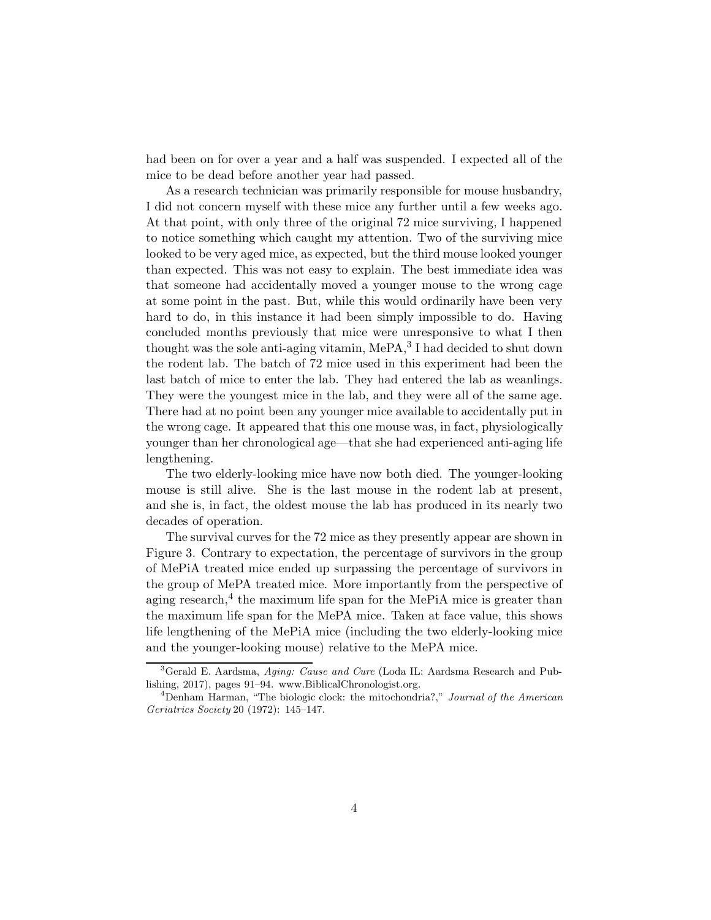had been on for over a year and a half was suspended. I expected all of the mice to be dead before another year had passed.

As a research technician was primarily responsible for mouse husbandry, I did not concern myself with these mice any further until a few weeks ago. At that point, with only three of the original 72 mice surviving, I happened to notice something which caught my attention. Two of the surviving mice looked to be very aged mice, as expected, but the third mouse looked younger than expected. This was not easy to explain. The best immediate idea was that someone had accidentally moved a younger mouse to the wrong cage at some point in the past. But, while this would ordinarily have been very hard to do, in this instance it had been simply impossible to do. Having concluded months previously that mice were unresponsive to what I then thought was the sole anti-aging vitamin, MePA,<sup>3</sup> I had decided to shut down the rodent lab. The batch of 72 mice used in this experiment had been the last batch of mice to enter the lab. They had entered the lab as weanlings. They were the youngest mice in the lab, and they were all of the same age. There had at no point been any younger mice available to accidentally put in the wrong cage. It appeared that this one mouse was, in fact, physiologically younger than her chronological age—that she had experienced anti-aging life lengthening.

The two elderly-looking mice have now both died. The younger-looking mouse is still alive. She is the last mouse in the rodent lab at present, and she is, in fact, the oldest mouse the lab has produced in its nearly two decades of operation.

The survival curves for the 72 mice as they presently appear are shown in Figure 3. Contrary to expectation, the percentage of survivors in the group of MePiA treated mice ended up surpassing the percentage of survivors in the group of MePA treated mice. More importantly from the perspective of aging research,<sup>4</sup> the maximum life span for the MePiA mice is greater than the maximum life span for the MePA mice. Taken at face value, this shows life lengthening of the MePiA mice (including the two elderly-looking mice and the younger-looking mouse) relative to the MePA mice.

 ${}^{3}$ Gerald E. Aardsma, Aging: Cause and Cure (Loda IL: Aardsma Research and Publishing, 2017), pages 91–94. www.BiblicalChronologist.org.

 $4$ Denham Harman, "The biologic clock: the mitochondria?," Journal of the American Geriatrics Society 20 (1972): 145–147.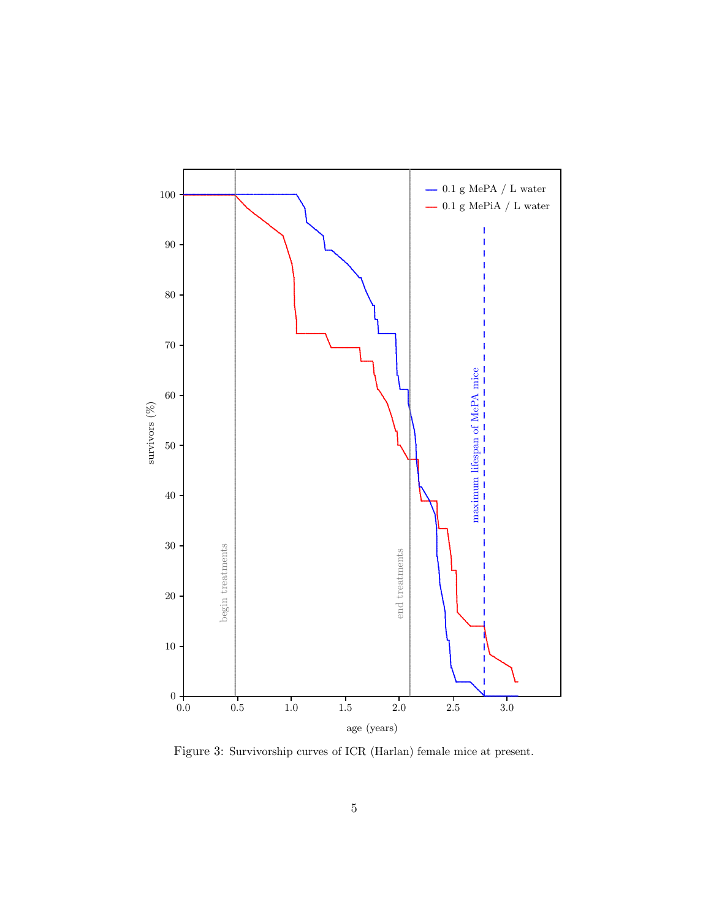

Figure 3: Survivorship curves of ICR (Harlan) female mice at present.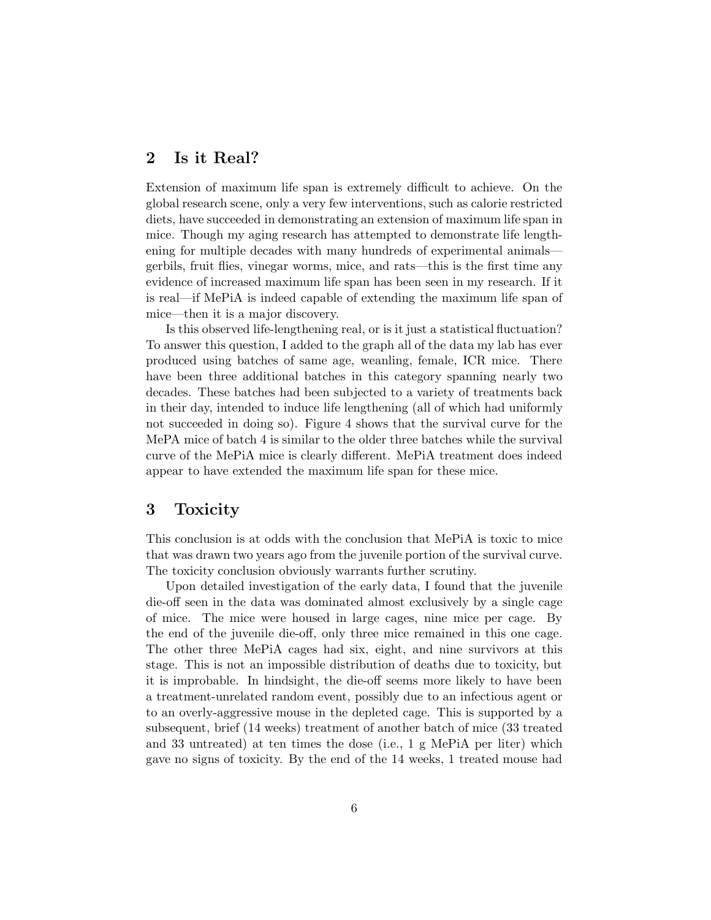# 2 Is it Real?

Extension of maximum life span is extremely difficult to achieve. On the global research scene, only a very few interventions, such as calorie restricted diets, have succeeded in demonstrating an extension of maximum life span in mice. Though my aging research has attempted to demonstrate life lengthening for multiple decades with many hundreds of experimental animals gerbils, fruit flies, vinegar worms, mice, and rats—this is the first time any evidence of increased maximum life span has been seen in my research. If it is real—if MePiA is indeed capable of extending the maximum life span of mice—then it is a major discovery.

Is this observed life-lengthening real, or is it just a statistical fluctuation? To answer this question, I added to the graph all of the data my lab has ever produced using batches of same age, weanling, female, ICR mice. There have been three additional batches in this category spanning nearly two decades. These batches had been subjected to a variety of treatments back in their day, intended to induce life lengthening (all of which had uniformly not succeeded in doing so). Figure 4 shows that the survival curve for the MePA mice of batch 4 is similar to the older three batches while the survival curve of the MePiA mice is clearly different. MePiA treatment does indeed appear to have extended the maximum life span for these mice.

## 3 Toxicity

This conclusion is at odds with the conclusion that MePiA is toxic to mice that was drawn two years ago from the juvenile portion of the survival curve. The toxicity conclusion obviously warrants further scrutiny.

Upon detailed investigation of the early data, I found that the juvenile die-off seen in the data was dominated almost exclusively by a single cage of mice. The mice were housed in large cages, nine mice per cage. By the end of the juvenile die-off, only three mice remained in this one cage. The other three MePiA cages had six, eight, and nine survivors at this stage. This is not an impossible distribution of deaths due to toxicity, but it is improbable. In hindsight, the die-off seems more likely to have been a treatment-unrelated random event, possibly due to an infectious agent or to an overly-aggressive mouse in the depleted cage. This is supported by a subsequent, brief (14 weeks) treatment of another batch of mice (33 treated and 33 untreated) at ten times the dose (i.e., 1 g MePiA per liter) which gave no signs of toxicity. By the end of the 14 weeks, 1 treated mouse had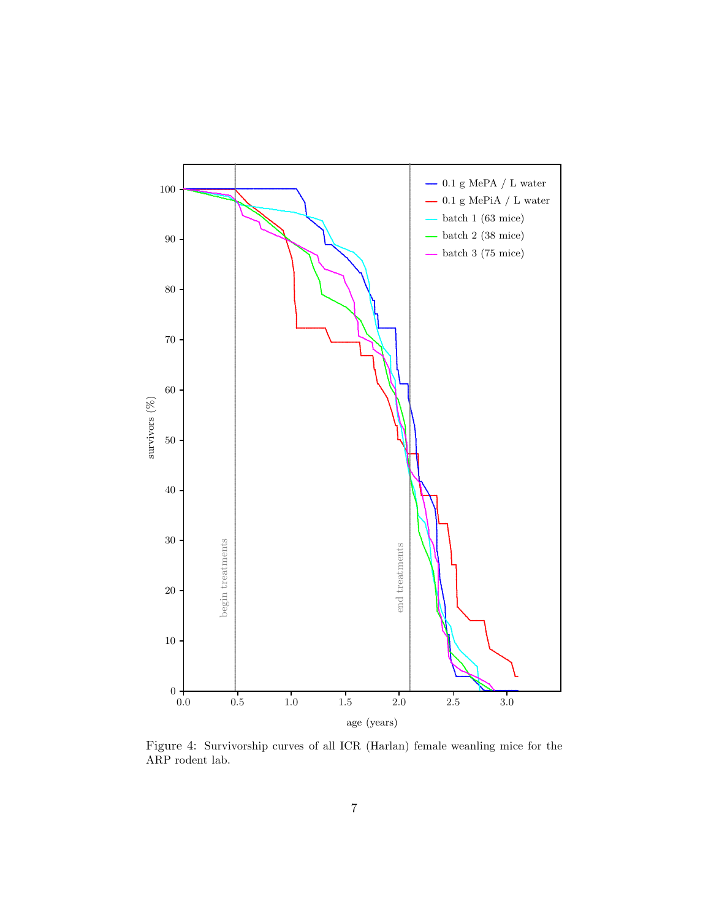

Figure 4: Survivorship curves of all ICR (Harlan) female weanling mice for the  ${\rm ARP}$  rodent lab.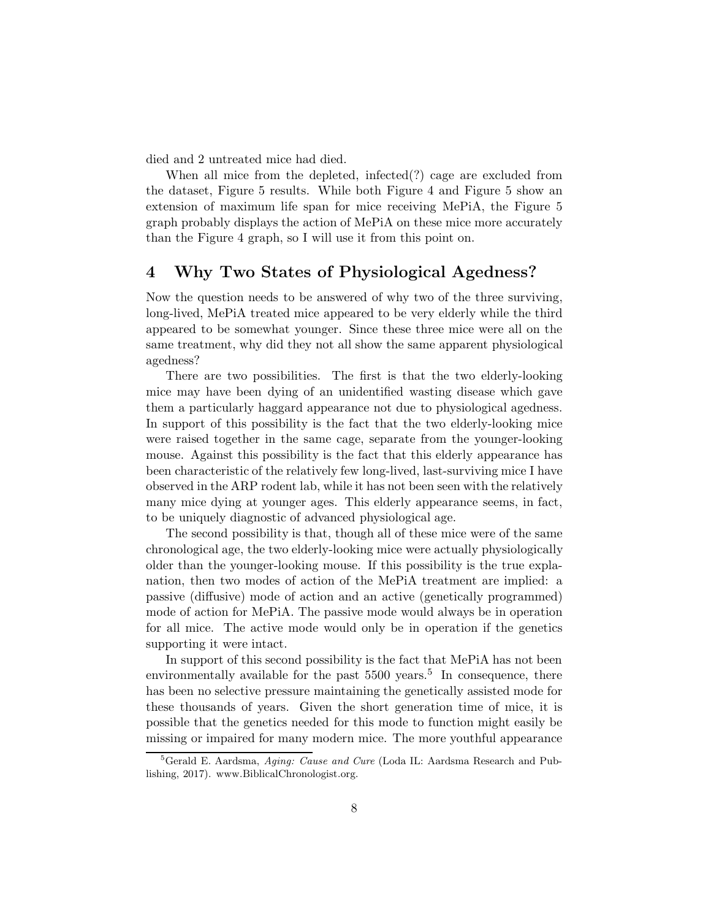died and 2 untreated mice had died.

When all mice from the depleted, infected(?) cage are excluded from the dataset, Figure 5 results. While both Figure 4 and Figure 5 show an extension of maximum life span for mice receiving MePiA, the Figure 5 graph probably displays the action of MePiA on these mice more accurately than the Figure 4 graph, so I will use it from this point on.

#### 4 Why Two States of Physiological Agedness?

Now the question needs to be answered of why two of the three surviving, long-lived, MePiA treated mice appeared to be very elderly while the third appeared to be somewhat younger. Since these three mice were all on the same treatment, why did they not all show the same apparent physiological agedness?

There are two possibilities. The first is that the two elderly-looking mice may have been dying of an unidentified wasting disease which gave them a particularly haggard appearance not due to physiological agedness. In support of this possibility is the fact that the two elderly-looking mice were raised together in the same cage, separate from the younger-looking mouse. Against this possibility is the fact that this elderly appearance has been characteristic of the relatively few long-lived, last-surviving mice I have observed in the ARP rodent lab, while it has not been seen with the relatively many mice dying at younger ages. This elderly appearance seems, in fact, to be uniquely diagnostic of advanced physiological age.

The second possibility is that, though all of these mice were of the same chronological age, the two elderly-looking mice were actually physiologically older than the younger-looking mouse. If this possibility is the true explanation, then two modes of action of the MePiA treatment are implied: a passive (diffusive) mode of action and an active (genetically programmed) mode of action for MePiA. The passive mode would always be in operation for all mice. The active mode would only be in operation if the genetics supporting it were intact.

In support of this second possibility is the fact that MePiA has not been environmentally available for the past  $5500 \text{ years}$ .<sup>5</sup> In consequence, there has been no selective pressure maintaining the genetically assisted mode for these thousands of years. Given the short generation time of mice, it is possible that the genetics needed for this mode to function might easily be missing or impaired for many modern mice. The more youthful appearance

 ${}^{5}$ Gerald E. Aardsma, Aging: Cause and Cure (Loda IL: Aardsma Research and Publishing, 2017). www.BiblicalChronologist.org.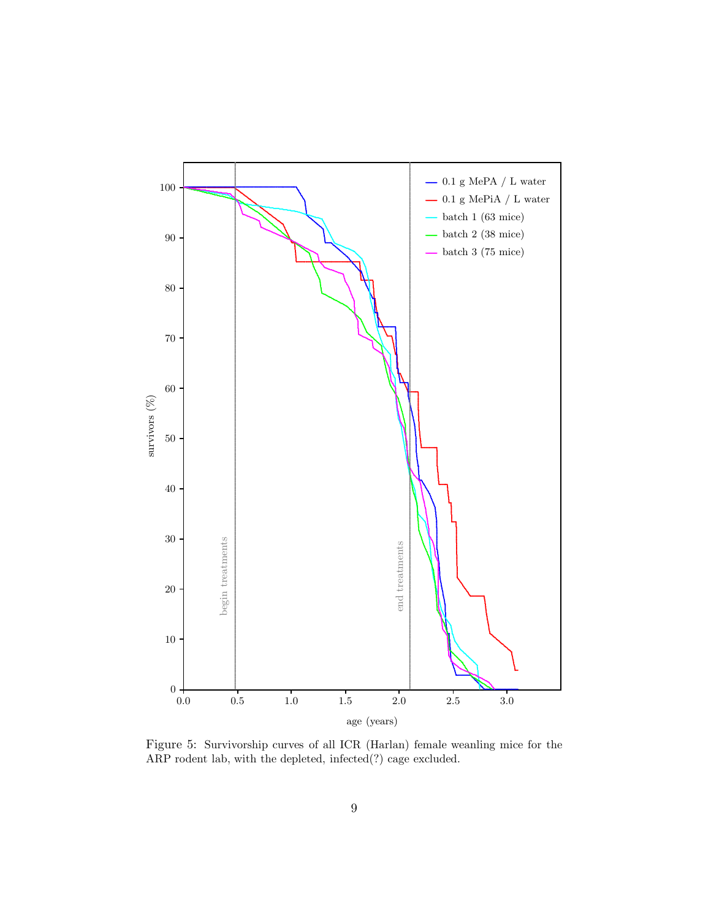

Figure 5: Survivorship curves of all ICR (Harlan) female weanling mice for the ARP rodent lab, with the depleted, infected(?) cage excluded.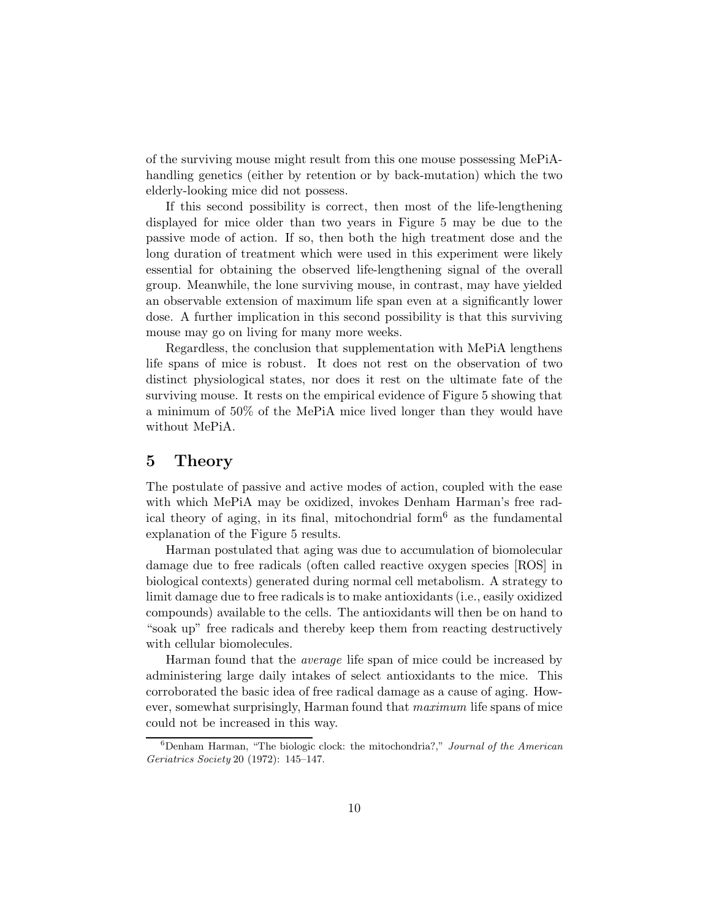of the surviving mouse might result from this one mouse possessing MePiAhandling genetics (either by retention or by back-mutation) which the two elderly-looking mice did not possess.

If this second possibility is correct, then most of the life-lengthening displayed for mice older than two years in Figure 5 may be due to the passive mode of action. If so, then both the high treatment dose and the long duration of treatment which were used in this experiment were likely essential for obtaining the observed life-lengthening signal of the overall group. Meanwhile, the lone surviving mouse, in contrast, may have yielded an observable extension of maximum life span even at a significantly lower dose. A further implication in this second possibility is that this surviving mouse may go on living for many more weeks.

Regardless, the conclusion that supplementation with MePiA lengthens life spans of mice is robust. It does not rest on the observation of two distinct physiological states, nor does it rest on the ultimate fate of the surviving mouse. It rests on the empirical evidence of Figure 5 showing that a minimum of 50% of the MePiA mice lived longer than they would have without MePiA.

#### 5 Theory

The postulate of passive and active modes of action, coupled with the ease with which MePiA may be oxidized, invokes Denham Harman's free radical theory of aging, in its final, mitochondrial form<sup>6</sup> as the fundamental explanation of the Figure 5 results.

Harman postulated that aging was due to accumulation of biomolecular damage due to free radicals (often called reactive oxygen species [ROS] in biological contexts) generated during normal cell metabolism. A strategy to limit damage due to free radicals is to make antioxidants (i.e., easily oxidized compounds) available to the cells. The antioxidants will then be on hand to "soak up" free radicals and thereby keep them from reacting destructively with cellular biomolecules.

Harman found that the average life span of mice could be increased by administering large daily intakes of select antioxidants to the mice. This corroborated the basic idea of free radical damage as a cause of aging. However, somewhat surprisingly, Harman found that maximum life spans of mice could not be increased in this way.

 $6$ Denham Harman, "The biologic clock: the mitochondria?," Journal of the American Geriatrics Society 20 (1972): 145–147.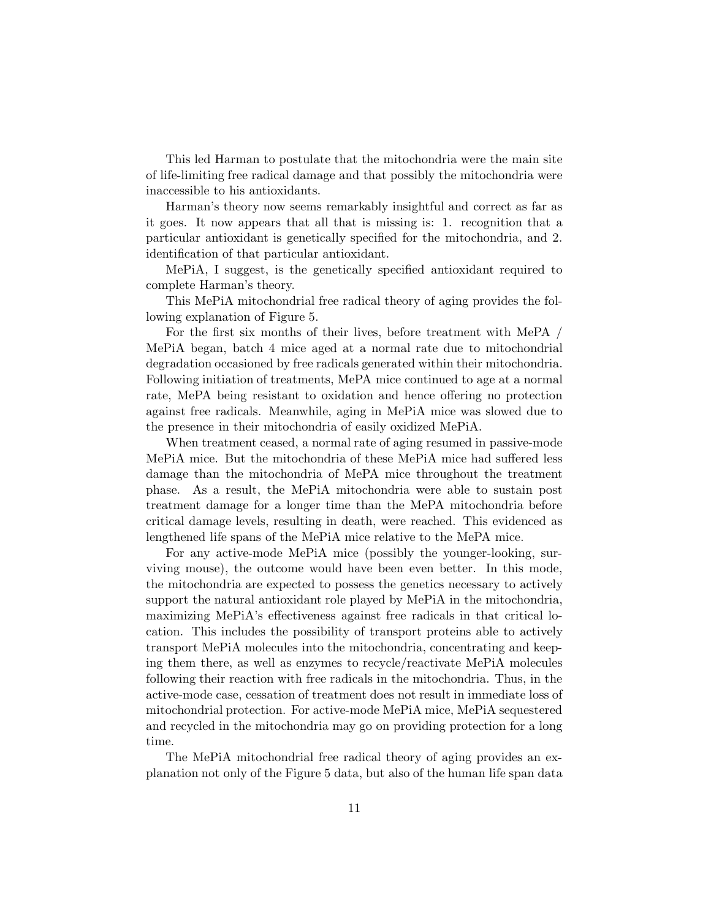This led Harman to postulate that the mitochondria were the main site of life-limiting free radical damage and that possibly the mitochondria were inaccessible to his antioxidants.

Harman's theory now seems remarkably insightful and correct as far as it goes. It now appears that all that is missing is: 1. recognition that a particular antioxidant is genetically specified for the mitochondria, and 2. identification of that particular antioxidant.

MePiA, I suggest, is the genetically specified antioxidant required to complete Harman's theory.

This MePiA mitochondrial free radical theory of aging provides the following explanation of Figure 5.

For the first six months of their lives, before treatment with MePA / MePiA began, batch 4 mice aged at a normal rate due to mitochondrial degradation occasioned by free radicals generated within their mitochondria. Following initiation of treatments, MePA mice continued to age at a normal rate, MePA being resistant to oxidation and hence offering no protection against free radicals. Meanwhile, aging in MePiA mice was slowed due to the presence in their mitochondria of easily oxidized MePiA.

When treatment ceased, a normal rate of aging resumed in passive-mode MePiA mice. But the mitochondria of these MePiA mice had suffered less damage than the mitochondria of MePA mice throughout the treatment phase. As a result, the MePiA mitochondria were able to sustain post treatment damage for a longer time than the MePA mitochondria before critical damage levels, resulting in death, were reached. This evidenced as lengthened life spans of the MePiA mice relative to the MePA mice.

For any active-mode MePiA mice (possibly the younger-looking, surviving mouse), the outcome would have been even better. In this mode, the mitochondria are expected to possess the genetics necessary to actively support the natural antioxidant role played by MePiA in the mitochondria, maximizing MePiA's effectiveness against free radicals in that critical location. This includes the possibility of transport proteins able to actively transport MePiA molecules into the mitochondria, concentrating and keeping them there, as well as enzymes to recycle/reactivate MePiA molecules following their reaction with free radicals in the mitochondria. Thus, in the active-mode case, cessation of treatment does not result in immediate loss of mitochondrial protection. For active-mode MePiA mice, MePiA sequestered and recycled in the mitochondria may go on providing protection for a long time.

The MePiA mitochondrial free radical theory of aging provides an explanation not only of the Figure 5 data, but also of the human life span data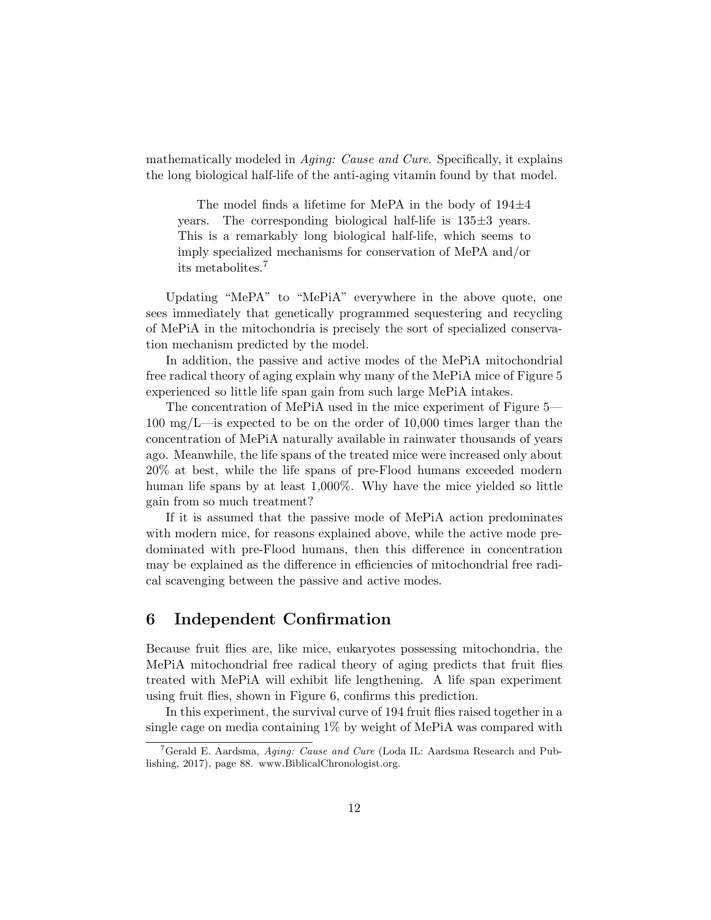mathematically modeled in *Aging: Cause and Cure*. Specifically, it explains the long biological half-life of the anti-aging vitamin found by that model.

The model finds a lifetime for MePA in the body of  $194\pm4$ years. The corresponding biological half-life is 135±3 years. This is a remarkably long biological half-life, which seems to imply specialized mechanisms for conservation of MePA and/or its metabolites.<sup>7</sup>

Updating "MePA" to "MePiA" everywhere in the above quote, one sees immediately that genetically programmed sequestering and recycling of MePiA in the mitochondria is precisely the sort of specialized conservation mechanism predicted by the model.

In addition, the passive and active modes of the MePiA mitochondrial free radical theory of aging explain why many of the MePiA mice of Figure 5 experienced so little life span gain from such large MePiA intakes.

The concentration of MePiA used in the mice experiment of Figure 5— 100 mg/L—is expected to be on the order of 10,000 times larger than the concentration of MePiA naturally available in rainwater thousands of years ago. Meanwhile, the life spans of the treated mice were increased only about 20% at best, while the life spans of pre-Flood humans exceeded modern human life spans by at least 1,000%. Why have the mice yielded so little gain from so much treatment?

If it is assumed that the passive mode of MePiA action predominates with modern mice, for reasons explained above, while the active mode predominated with pre-Flood humans, then this difference in concentration may be explained as the difference in efficiencies of mitochondrial free radical scavenging between the passive and active modes.

# 6 Independent Confirmation

Because fruit flies are, like mice, eukaryotes possessing mitochondria, the MePiA mitochondrial free radical theory of aging predicts that fruit flies treated with MePiA will exhibit life lengthening. A life span experiment using fruit flies, shown in Figure 6, confirms this prediction.

In this experiment, the survival curve of 194 fruit flies raised together in a single cage on media containing 1% by weight of MePiA was compared with

<sup>&</sup>lt;sup>7</sup>Gerald E. Aardsma, *Aging: Cause and Cure* (Loda IL: Aardsma Research and Publishing, 2017), page 88. www.BiblicalChronologist.org.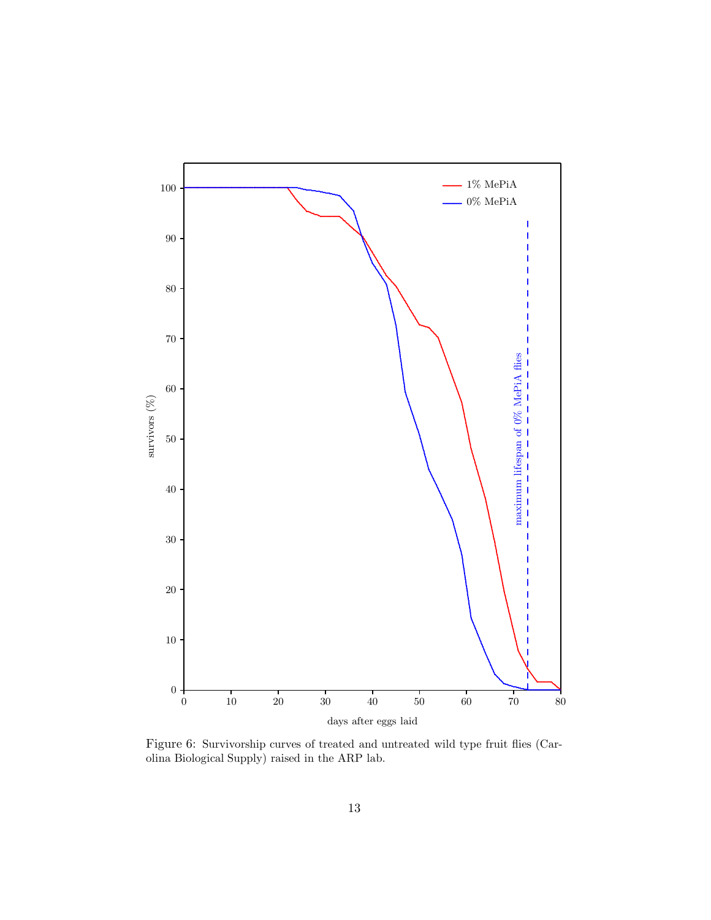

Figure 6: Survivorship curves of treated and untreated wild type fruit flies (Carolina Biological Supply) raised in the ARP lab.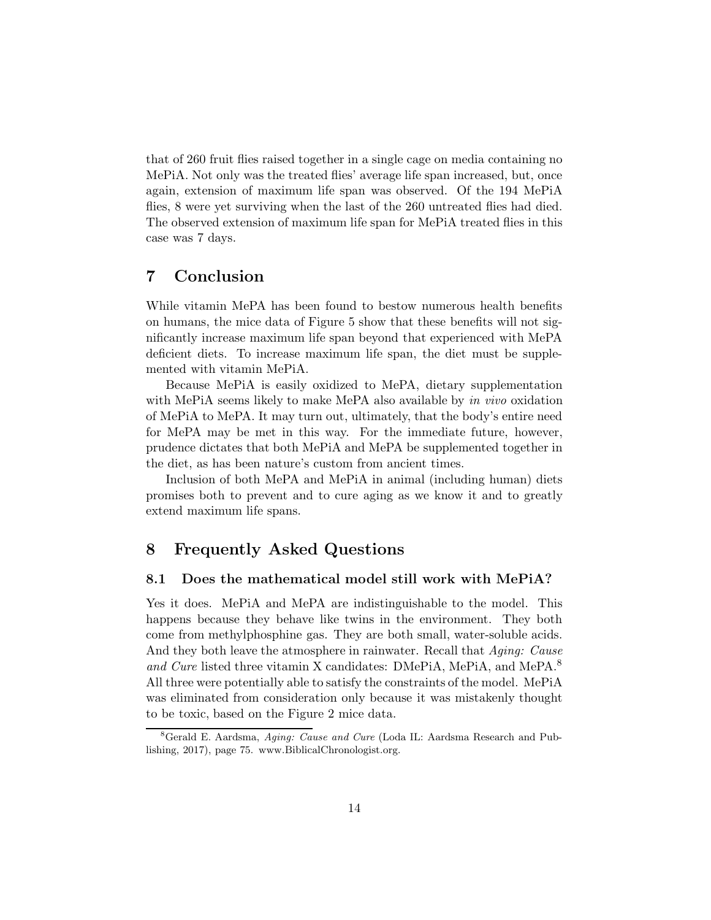that of 260 fruit flies raised together in a single cage on media containing no MePiA. Not only was the treated flies' average life span increased, but, once again, extension of maximum life span was observed. Of the 194 MePiA flies, 8 were yet surviving when the last of the 260 untreated flies had died. The observed extension of maximum life span for MePiA treated flies in this case was 7 days.

## 7 Conclusion

While vitamin MePA has been found to bestow numerous health benefits on humans, the mice data of Figure 5 show that these benefits will not significantly increase maximum life span beyond that experienced with MePA deficient diets. To increase maximum life span, the diet must be supplemented with vitamin MePiA.

Because MePiA is easily oxidized to MePA, dietary supplementation with MePiA seems likely to make MePA also available by in vivo oxidation of MePiA to MePA. It may turn out, ultimately, that the body's entire need for MePA may be met in this way. For the immediate future, however, prudence dictates that both MePiA and MePA be supplemented together in the diet, as has been nature's custom from ancient times.

Inclusion of both MePA and MePiA in animal (including human) diets promises both to prevent and to cure aging as we know it and to greatly extend maximum life spans.

# 8 Frequently Asked Questions

#### 8.1 Does the mathematical model still work with MePiA?

Yes it does. MePiA and MePA are indistinguishable to the model. This happens because they behave like twins in the environment. They both come from methylphosphine gas. They are both small, water-soluble acids. And they both leave the atmosphere in rainwater. Recall that Aging: Cause and Cure listed three vitamin X candidates: DMePiA, MePiA, and MePA.<sup>8</sup> All three were potentially able to satisfy the constraints of the model. MePiA was eliminated from consideration only because it was mistakenly thought to be toxic, based on the Figure 2 mice data.

<sup>8</sup>Gerald E. Aardsma, Aging: Cause and Cure (Loda IL: Aardsma Research and Publishing, 2017), page 75. www.BiblicalChronologist.org.